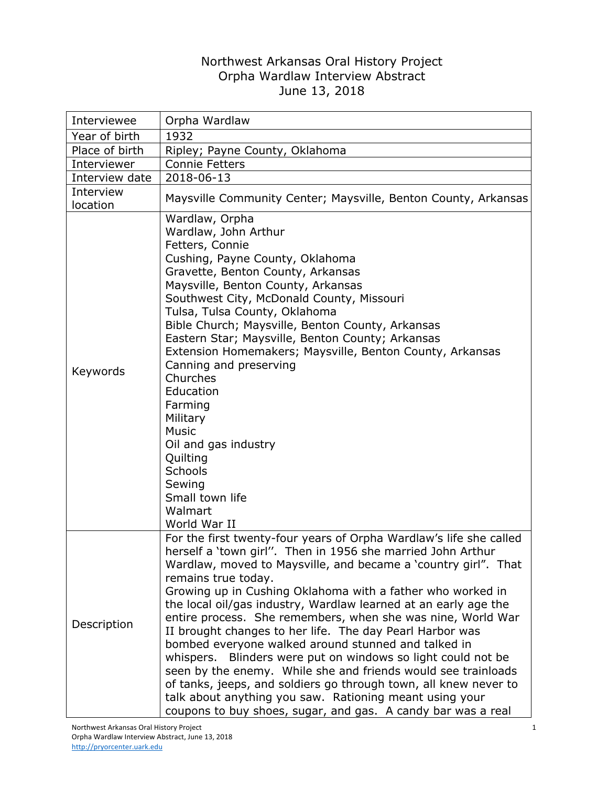## Northwest Arkansas Oral History Project Orpha Wardlaw Interview Abstract June 13, 2018

| Interviewee           | Orpha Wardlaw                                                                                                                                                                                                                                                                                                                                                                                                                                                                                                                                                                                                                                                                                                                                                                                                                                                                 |
|-----------------------|-------------------------------------------------------------------------------------------------------------------------------------------------------------------------------------------------------------------------------------------------------------------------------------------------------------------------------------------------------------------------------------------------------------------------------------------------------------------------------------------------------------------------------------------------------------------------------------------------------------------------------------------------------------------------------------------------------------------------------------------------------------------------------------------------------------------------------------------------------------------------------|
| Year of birth         | 1932                                                                                                                                                                                                                                                                                                                                                                                                                                                                                                                                                                                                                                                                                                                                                                                                                                                                          |
| Place of birth        | Ripley; Payne County, Oklahoma                                                                                                                                                                                                                                                                                                                                                                                                                                                                                                                                                                                                                                                                                                                                                                                                                                                |
| Interviewer           | <b>Connie Fetters</b>                                                                                                                                                                                                                                                                                                                                                                                                                                                                                                                                                                                                                                                                                                                                                                                                                                                         |
| Interview date        | 2018-06-13                                                                                                                                                                                                                                                                                                                                                                                                                                                                                                                                                                                                                                                                                                                                                                                                                                                                    |
| Interview<br>location | Maysville Community Center; Maysville, Benton County, Arkansas                                                                                                                                                                                                                                                                                                                                                                                                                                                                                                                                                                                                                                                                                                                                                                                                                |
| Keywords              | Wardlaw, Orpha<br>Wardlaw, John Arthur<br>Fetters, Connie<br>Cushing, Payne County, Oklahoma<br>Gravette, Benton County, Arkansas<br>Maysville, Benton County, Arkansas<br>Southwest City, McDonald County, Missouri<br>Tulsa, Tulsa County, Oklahoma<br>Bible Church; Maysville, Benton County, Arkansas<br>Eastern Star; Maysville, Benton County; Arkansas<br>Extension Homemakers; Maysville, Benton County, Arkansas<br>Canning and preserving<br>Churches<br>Education<br>Farming<br>Military<br><b>Music</b><br>Oil and gas industry<br>Quilting<br>Schools<br>Sewing<br>Small town life<br>Walmart<br>World War II                                                                                                                                                                                                                                                    |
| Description           | For the first twenty-four years of Orpha Wardlaw's life she called<br>herself a 'town girl". Then in 1956 she married John Arthur<br>Wardlaw, moved to Maysville, and became a 'country girl". That<br>remains true today.<br>Growing up in Cushing Oklahoma with a father who worked in<br>the local oil/gas industry, Wardlaw learned at an early age the<br>entire process. She remembers, when she was nine, World War<br>II brought changes to her life. The day Pearl Harbor was<br>bombed everyone walked around stunned and talked in<br>whispers. Blinders were put on windows so light could not be<br>seen by the enemy. While she and friends would see trainloads<br>of tanks, jeeps, and soldiers go through town, all knew never to<br>talk about anything you saw. Rationing meant using your<br>coupons to buy shoes, sugar, and gas. A candy bar was a real |